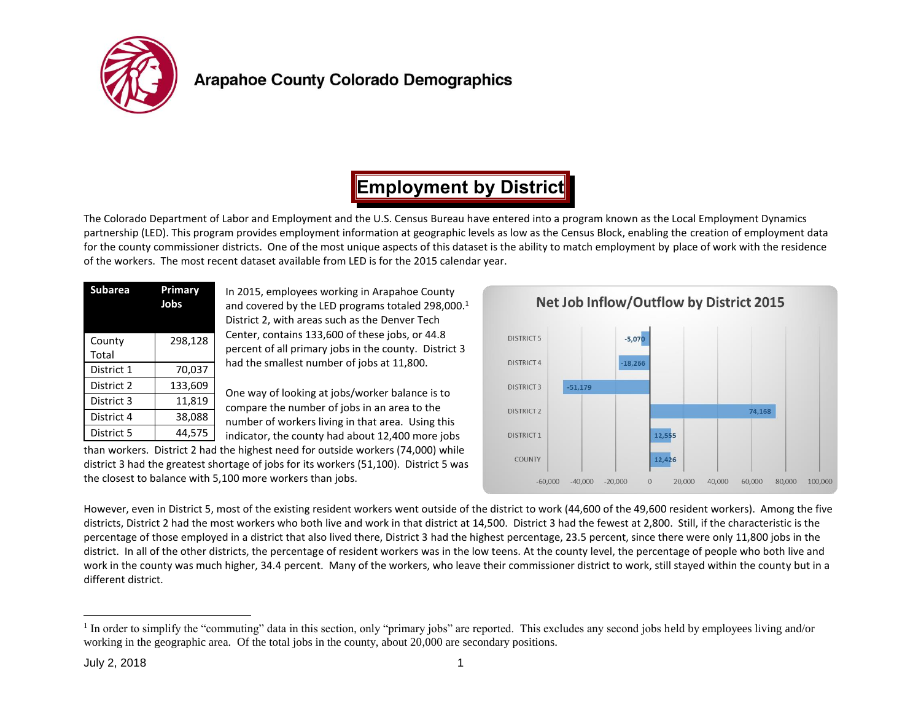

# **Employment by District**

The Colorado Department of Labor and Employment and the U.S. Census Bureau have entered into a program known as the Local Employment Dynamics partnership (LED). This program provides employment information at geographic levels as low as the Census Block, enabling the creation of employment data for the county commissioner districts. One of the most unique aspects of this dataset is the ability to match employment by place of work with the residence of the workers. The most recent dataset available from LED is for the 2015 calendar year.

| <b>Subarea</b>  | Primary<br>Jobs |  |  |  |  |
|-----------------|-----------------|--|--|--|--|
| County<br>Total | 298,128         |  |  |  |  |
| District 1      | 70,037          |  |  |  |  |
| District 2      | 133,609         |  |  |  |  |
| District 3      | 11,819          |  |  |  |  |
| District 4      | 38,088          |  |  |  |  |
| District 5      | 44,575          |  |  |  |  |

In 2015, employees working in Arapahoe County and covered by the LED programs totaled 298,000.<sup>1</sup> District 2, with areas such as the Denver Tech Center, contains 133,600 of these jobs, or 44.8 percent of all primary jobs in the county. District 3 had the smallest number of jobs at 11,800.

One way of looking at jobs/worker balance is to compare the number of jobs in an area to the number of workers living in that area. Using this indicator, the county had about 12,400 more jobs

than workers. District 2 had the highest need for outside workers (74,000) while district 3 had the greatest shortage of jobs for its workers (51,100). District 5 was the closest to balance with 5,100 more workers than jobs.



However, even in District 5, most of the existing resident workers went outside of the district to work (44,600 of the 49,600 resident workers). Among the five districts, District 2 had the most workers who both live and work in that district at 14,500. District 3 had the fewest at 2,800. Still, if the characteristic is the percentage of those employed in a district that also lived there, District 3 had the highest percentage, 23.5 percent, since there were only 11,800 jobs in the district. In all of the other districts, the percentage of resident workers was in the low teens. At the county level, the percentage of people who both live and work in the county was much higher, 34.4 percent. Many of the workers, who leave their commissioner district to work, still stayed within the county but in a different district.

 $\overline{a}$ <sup>1</sup> In order to simplify the "commuting" data in this section, only "primary jobs" are reported. This excludes any second jobs held by employees living and/or working in the geographic area. Of the total jobs in the county, about 20,000 are secondary positions.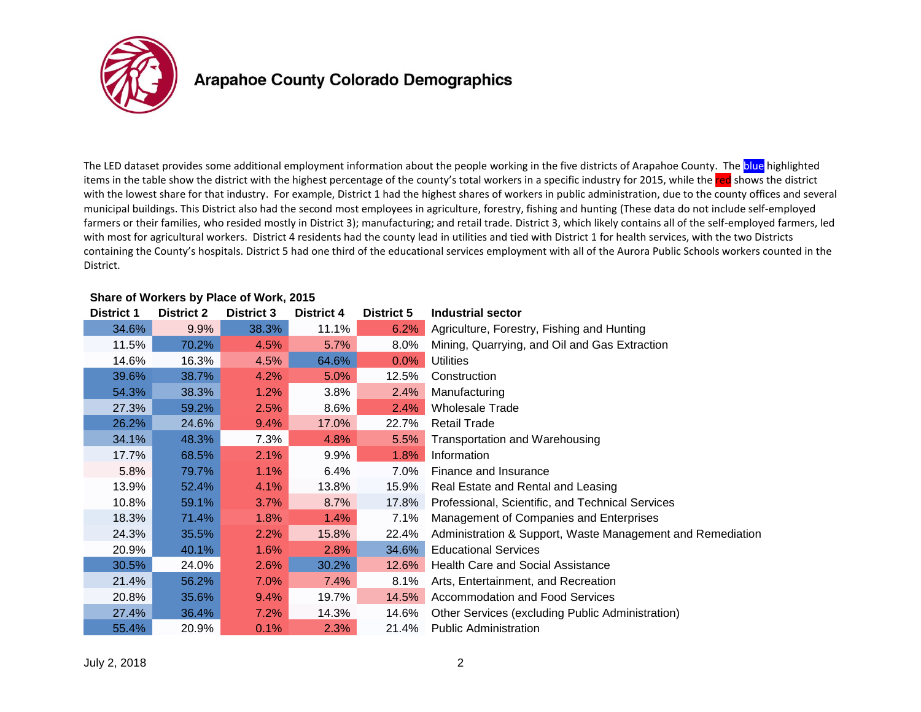

The LED dataset provides some additional employment information about the people working in the five districts of Arapahoe County. The blue highlighted items in the table show the district with the highest percentage of the county's total workers in a specific industry for 2015, while the red shows the district with the lowest share for that industry. For example, District 1 had the highest shares of workers in public administration, due to the county offices and several municipal buildings. This District also had the second most employees in agriculture, forestry, fishing and hunting (These data do not include self-employed farmers or their families, who resided mostly in District 3); manufacturing; and retail trade. District 3, which likely contains all of the self-employed farmers, led with most for agricultural workers. District 4 residents had the county lead in utilities and tied with District 1 for health services, with the two Districts containing the County's hospitals. District 5 had one third of the educational services employment with all of the Aurora Public Schools workers counted in the District.

| <b>District 1</b> | <b>District 2</b> | <b>District 3</b> | <b>District 4</b> | <b>District 5</b> | Industrial sector                                          |
|-------------------|-------------------|-------------------|-------------------|-------------------|------------------------------------------------------------|
| 34.6%             | 9.9%              | 38.3%             | 11.1%             | 6.2%              | Agriculture, Forestry, Fishing and Hunting                 |
| 11.5%             | 70.2%             | 4.5%              | 5.7%              | 8.0%              | Mining, Quarrying, and Oil and Gas Extraction              |
| 14.6%             | 16.3%             | 4.5%              | 64.6%             | $0.0\%$           | <b>Utilities</b>                                           |
| 39.6%             | 38.7%             | 4.2%              | 5.0%              | 12.5%             | Construction                                               |
| 54.3%             | 38.3%             | 1.2%              | 3.8%              | 2.4%              | Manufacturing                                              |
| 27.3%             | 59.2%             | 2.5%              | $8.6\%$           | 2.4%              | <b>Wholesale Trade</b>                                     |
| 26.2%             | 24.6%             | 9.4%              | 17.0%             | 22.7%             | <b>Retail Trade</b>                                        |
| 34.1%             | 48.3%             | 7.3%              | 4.8%              | 5.5%              | Transportation and Warehousing                             |
| 17.7%             | 68.5%             | 2.1%              | $9.9\%$           | 1.8%              | Information                                                |
| 5.8%              | 79.7%             | 1.1%              | 6.4%              | 7.0%              | Finance and Insurance                                      |
| 13.9%             | 52.4%             | 4.1%              | 13.8%             | 15.9%             | Real Estate and Rental and Leasing                         |
| 10.8%             | 59.1%             | 3.7%              | 8.7%              | 17.8%             | Professional, Scientific, and Technical Services           |
| 18.3%             | 71.4%             | 1.8%              | 1.4%              | 7.1%              | Management of Companies and Enterprises                    |
| 24.3%             | 35.5%             | 2.2%              | 15.8%             | 22.4%             | Administration & Support, Waste Management and Remediation |
| 20.9%             | 40.1%             | 1.6%              | 2.8%              | 34.6%             | <b>Educational Services</b>                                |
| 30.5%             | 24.0%             | 2.6%              | 30.2%             | 12.6%             | <b>Health Care and Social Assistance</b>                   |
| 21.4%             | 56.2%             | 7.0%              | 7.4%              | $8.1\%$           | Arts, Entertainment, and Recreation                        |
| 20.8%             | 35.6%             | 9.4%              | 19.7%             | 14.5%             | Accommodation and Food Services                            |
| 27.4%             | 36.4%             | 7.2%              | 14.3%             | 14.6%             | Other Services (excluding Public Administration)           |
| 55.4%             | 20.9%             | 0.1%              | 2.3%              | 21.4%             | <b>Public Administration</b>                               |

#### **Share of Workers by Place of Work, 2015**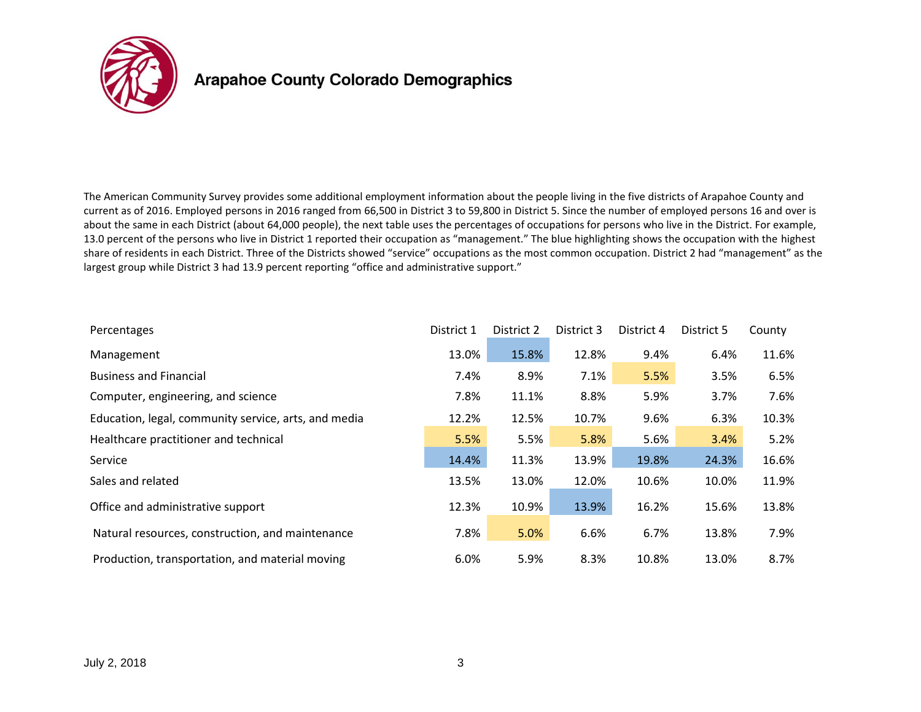

The American Community Survey provides some additional employment information about the people living in the five districts of Arapahoe County and current as of 2016. Employed persons in 2016 ranged from 66,500 in District 3 to 59,800 in District 5. Since the number of employed persons 16 and over is about the same in each District (about 64,000 people), the next table uses the percentages of occupations for persons who live in the District. For example, 13.0 percent of the persons who live in District 1 reported their occupation as "management." The blue highlighting shows the occupation with the highest share of residents in each District. Three of the Districts showed "service" occupations as the most common occupation. District 2 had "management" as the largest group while District 3 had 13.9 percent reporting "office and administrative support."

| Percentages                                          | District 1 | District 2 | District 3 | District 4 | District 5 | County |
|------------------------------------------------------|------------|------------|------------|------------|------------|--------|
| Management                                           | 13.0%      | 15.8%      | 12.8%      | 9.4%       | 6.4%       | 11.6%  |
| <b>Business and Financial</b>                        | 7.4%       | 8.9%       | 7.1%       | 5.5%       | 3.5%       | 6.5%   |
| Computer, engineering, and science                   | 7.8%       | 11.1%      | 8.8%       | 5.9%       | 3.7%       | 7.6%   |
| Education, legal, community service, arts, and media | 12.2%      | 12.5%      | 10.7%      | 9.6%       | 6.3%       | 10.3%  |
| Healthcare practitioner and technical                | 5.5%       | 5.5%       | 5.8%       | 5.6%       | 3.4%       | 5.2%   |
| Service                                              | 14.4%      | 11.3%      | 13.9%      | 19.8%      | 24.3%      | 16.6%  |
| Sales and related                                    | 13.5%      | 13.0%      | 12.0%      | 10.6%      | 10.0%      | 11.9%  |
| Office and administrative support                    | 12.3%      | 10.9%      | 13.9%      | 16.2%      | 15.6%      | 13.8%  |
| Natural resources, construction, and maintenance     | 7.8%       | 5.0%       | 6.6%       | 6.7%       | 13.8%      | 7.9%   |
| Production, transportation, and material moving      | 6.0%       | 5.9%       | 8.3%       | 10.8%      | 13.0%      | 8.7%   |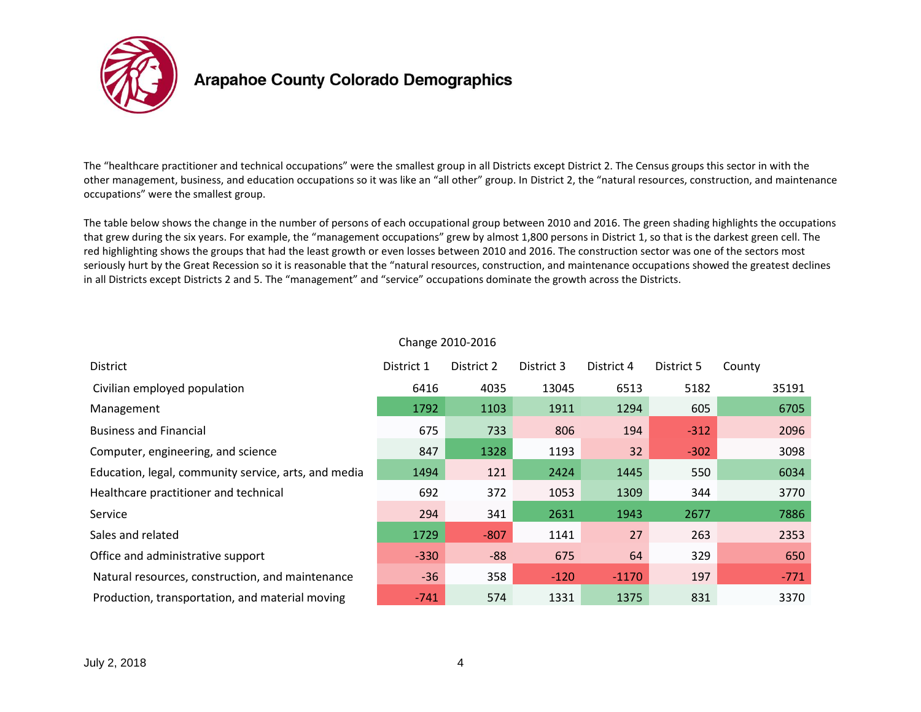

The "healthcare practitioner and technical occupations" were the smallest group in all Districts except District 2. The Census groups this sector in with the other management, business, and education occupations so it was like an "all other" group. In District 2, the "natural resources, construction, and maintenance occupations" were the smallest group.

The table below shows the change in the number of persons of each occupational group between 2010 and 2016. The green shading highlights the occupations that grew during the six years. For example, the "management occupations" grew by almost 1,800 persons in District 1, so that is the darkest green cell. The red highlighting shows the groups that had the least growth or even losses between 2010 and 2016. The construction sector was one of the sectors most seriously hurt by the Great Recession so it is reasonable that the "natural resources, construction, and maintenance occupations showed the greatest declines in all Districts except Districts 2 and 5. The "management" and "service" occupations dominate the growth across the Districts.

| <b>District</b>                                      | District 1 | District 2 | District 3 | District 4 | District 5 | County |
|------------------------------------------------------|------------|------------|------------|------------|------------|--------|
| Civilian employed population                         | 6416       | 4035       | 13045      | 6513       | 5182       | 35191  |
| Management                                           | 1792       | 1103       | 1911       | 1294       | 605        | 6705   |
| <b>Business and Financial</b>                        | 675        | 733        | 806        | 194        | $-312$     | 2096   |
| Computer, engineering, and science                   | 847        | 1328       | 1193       | 32         | $-302$     | 3098   |
| Education, legal, community service, arts, and media | 1494       | 121        | 2424       | 1445       | 550        | 6034   |
| Healthcare practitioner and technical                | 692        | 372        | 1053       | 1309       | 344        | 3770   |
| Service                                              | 294        | 341        | 2631       | 1943       | 2677       | 7886   |
| Sales and related                                    | 1729       | $-807$     | 1141       | 27         | 263        | 2353   |
| Office and administrative support                    | $-330$     | $-88$      | 675        | 64         | 329        | 650    |
| Natural resources, construction, and maintenance     | $-36$      | 358        | $-120$     | $-1170$    | 197        | $-771$ |
| Production, transportation, and material moving      | $-741$     | 574        | 1331       | 1375       | 831        | 3370   |

#### Change 2010-2016